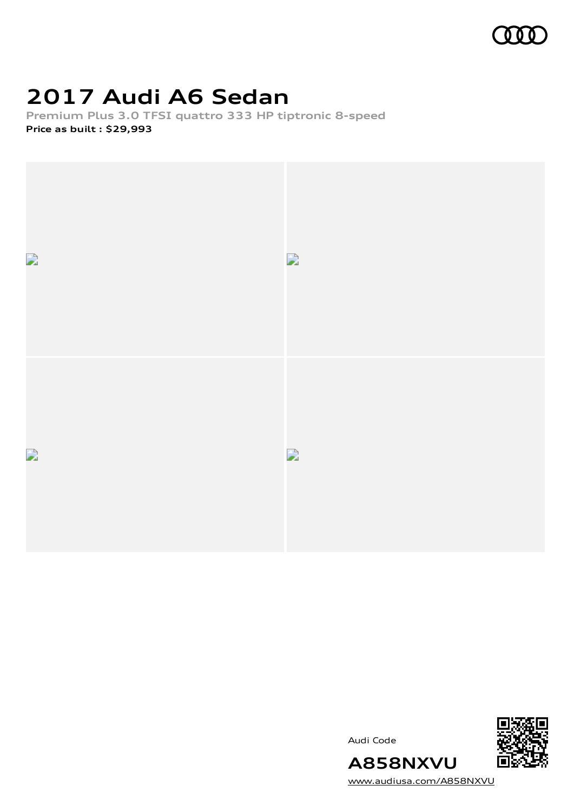

# **2017 Audi A6 Sedan**

**Premium Plus 3.0 TFSI quattro 333 HP tiptronic 8-speed Price as built [:](#page-10-0) \$29,993**



Audi Code



[www.audiusa.com/A858NXVU](https://www.audiusa.com/A858NXVU)

**A858NXVU**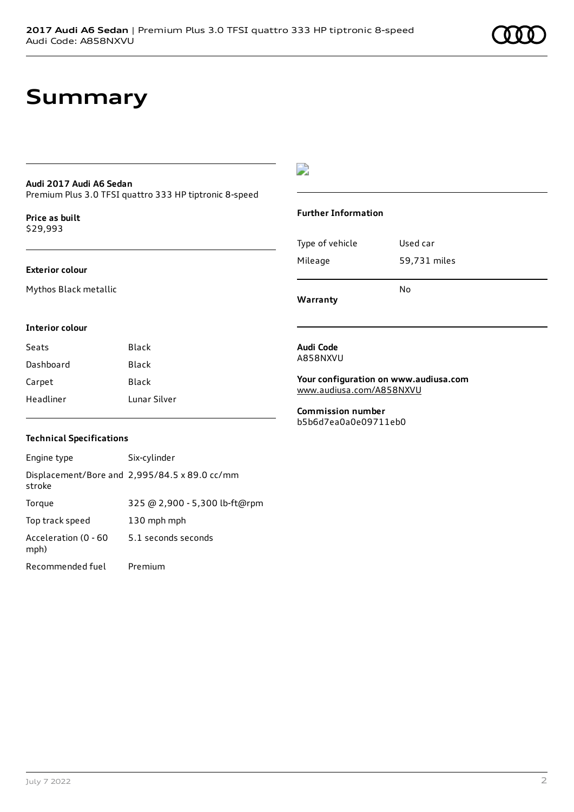### **Summary**

### **Audi 2017 Audi A6 Sedan**

Premium Plus 3.0 TFSI quattro 333 HP tiptronic 8-speed

**Price as buil[t](#page-10-0)** \$29,993

#### **Exterior colour**

Mythos Black metallic

### $\overline{\phantom{a}}$

#### **Further Information**

| Warranty        |              |
|-----------------|--------------|
|                 | N٥           |
| Mileage         | 59,731 miles |
| Type of vehicle | Used car     |

#### **Interior colour**

| Seats     | Black        |
|-----------|--------------|
| Dashboard | Black        |
| Carpet    | Black        |
| Headliner | Lunar Silver |

#### **Technical Specifications**

| Engine type                  | Six-cylinder                                  |
|------------------------------|-----------------------------------------------|
| stroke                       | Displacement/Bore and 2,995/84.5 x 89.0 cc/mm |
| Torque                       | 325 @ 2,900 - 5,300 lb-ft@rpm                 |
| Top track speed              | 130 mph mph                                   |
| Acceleration (0 - 60<br>mph) | 5.1 seconds seconds                           |
| Recommended fuel             | Premium                                       |

**Audi Code** A858NXVU

**Your configuration on www.audiusa.com** [www.audiusa.com/A858NXVU](https://www.audiusa.com/A858NXVU)

**Commission number** b5b6d7ea0a0e09711eb0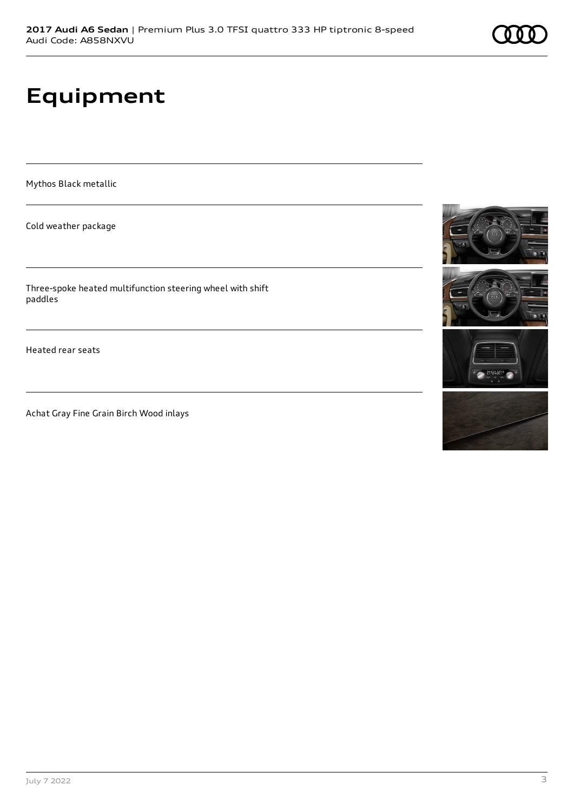# **Equipment**

Mythos Black metallic

Cold weather package

Three-spoke heated multifunction steering wheel with shift paddles

Heated rear seats

Achat Gray Fine Grain Birch Wood inlays

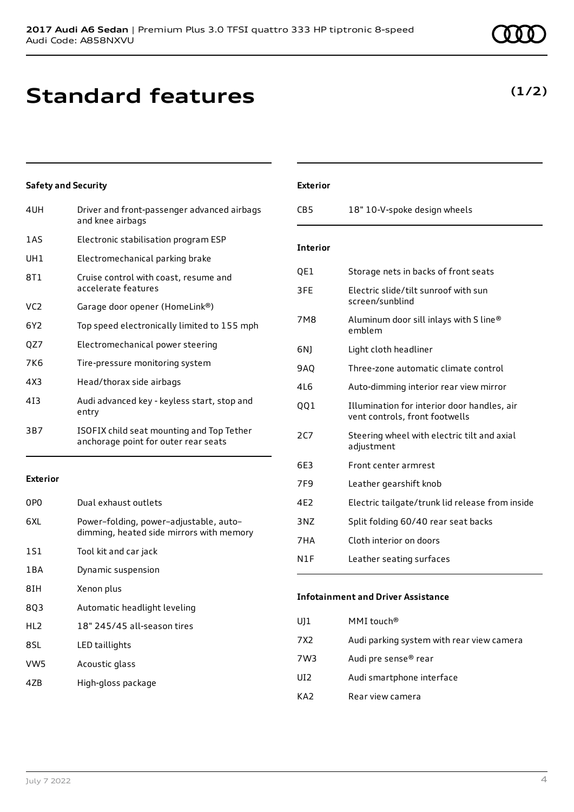# **Standard features**

### **Safety and Security**

| 4UH             | Driver and front-passenger advanced airbags<br>and knee airbags                   |
|-----------------|-----------------------------------------------------------------------------------|
| 1AS             | Electronic stabilisation program ESP                                              |
| UH1             | Electromechanical parking brake                                                   |
| 8T1             | Cruise control with coast, resume and<br>accelerate features                      |
| VC <sub>2</sub> | Garage door opener (HomeLink®)                                                    |
| 6Y2             | Top speed electronically limited to 155 mph                                       |
| QZ7             | Electromechanical power steering                                                  |
| 7K6             | Tire-pressure monitoring system                                                   |
| 4X3             | Head/thorax side airbags                                                          |
| 413             | Audi advanced key - keyless start, stop and<br>entry                              |
| 3B7             | ISOFIX child seat mounting and Top Tether<br>anchorage point for outer rear seats |
|                 |                                                                                   |

#### **Exterior**

| 0PO             | Dual exhaust outlets                                                               |
|-----------------|------------------------------------------------------------------------------------|
| 6XI.            | Power-folding, power-adjustable, auto-<br>dimming, heated side mirrors with memory |
| 1S1             | Tool kit and car jack                                                              |
| 1 B A           | Dynamic suspension                                                                 |
| 8IH             | Xenon plus                                                                         |
| 8Q3             | Automatic headlight leveling                                                       |
| HL <sub>2</sub> | 18" 245/45 all-season tires                                                        |
| 8SL             | LED taillights                                                                     |
| VW5             | Acoustic glass                                                                     |
|                 |                                                                                    |

4ZB High-gloss package

### **Exterior**

| CB <sub>5</sub> | 18" 10-V-spoke design wheels                                                  |
|-----------------|-------------------------------------------------------------------------------|
| <b>Interior</b> |                                                                               |
| QE1             | Storage nets in backs of front seats                                          |
| 3FE             | Electric slide/tilt sunroof with sun<br>screen/sunblind                       |
| <b>7M8</b>      | Aluminum door sill inlays with S line®<br>emblem                              |
| 6N)             | Light cloth headliner                                                         |
| 9AQ             | Three-zone automatic climate control                                          |
| 4L6             | Auto-dimming interior rear view mirror                                        |
| QQ1             | Illumination for interior door handles, air<br>vent controls, front footwells |
| 2C7             | Steering wheel with electric tilt and axial<br>adjustment                     |
| 6E3             | Front center armrest                                                          |
| 7F <sub>9</sub> | Leather gearshift knob                                                        |
| 4E2             | Electric tailgate/trunk lid release from inside                               |
| 3NZ             | Split folding 60/40 rear seat backs                                           |
| 7HA             | Cloth interior on doors                                                       |
| N1F             | Leather seating surfaces                                                      |

### **Infotainment and Driver Assistance**

| UJ1  | MMI touch®                                |
|------|-------------------------------------------|
| 7X2. | Audi parking system with rear view camera |
| 7W3  | Audi pre sense® rear                      |
| UI2  | Audi smartphone interface                 |
| KA2  | Rear view camera                          |
|      |                                           |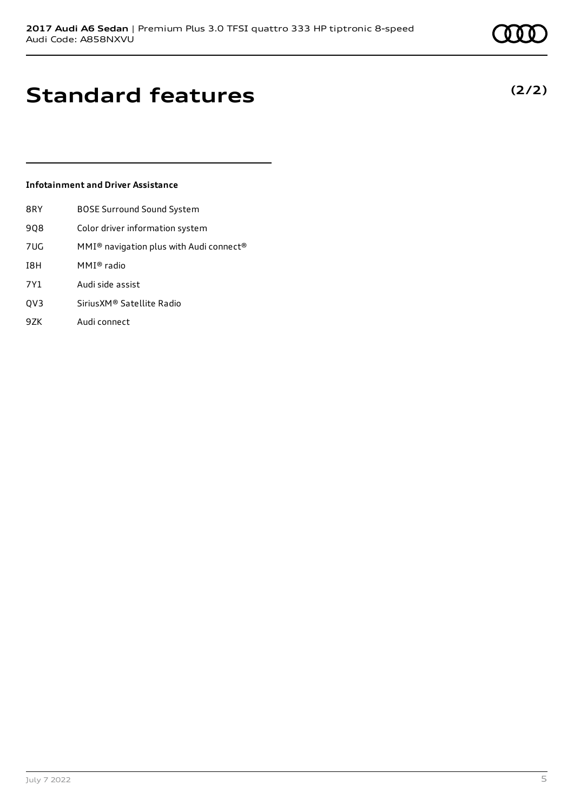## **Standard features**

### **Infotainment and Driver Assistance**

- 8RY BOSE Surround Sound System
- 9Q8 Color driver information system
- 7UG MMI® navigation plus with Audi connect®
- I8H MMI® radio
- 7Y1 Audi side assist
- QV3 SiriusXM® Satellite Radio
- 9ZK Audi connect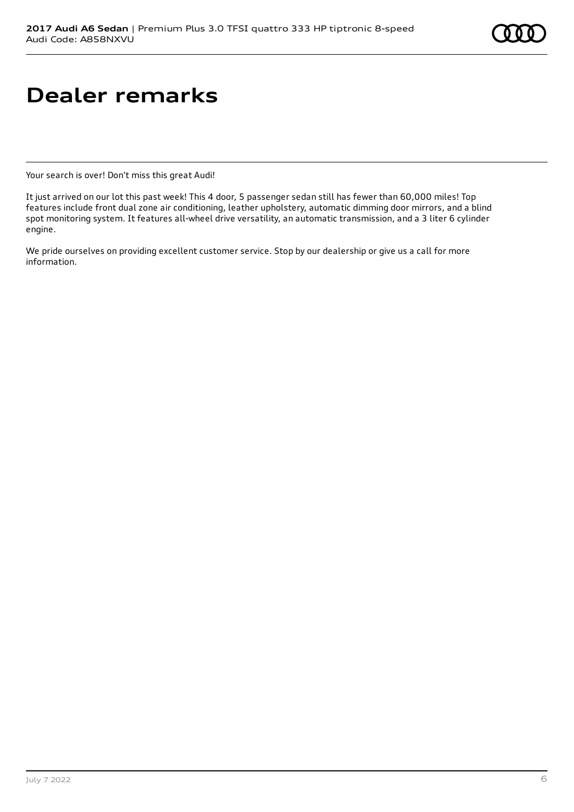# **Dealer remarks**

Your search is over! Don't miss this great Audi!

It just arrived on our lot this past week! This 4 door, 5 passenger sedan still has fewer than 60,000 miles! Top features include front dual zone air conditioning, leather upholstery, automatic dimming door mirrors, and a blind spot monitoring system. It features all-wheel drive versatility, an automatic transmission, and a 3 liter 6 cylinder engine.

We pride ourselves on providing excellent customer service. Stop by our dealership or give us a call for more information.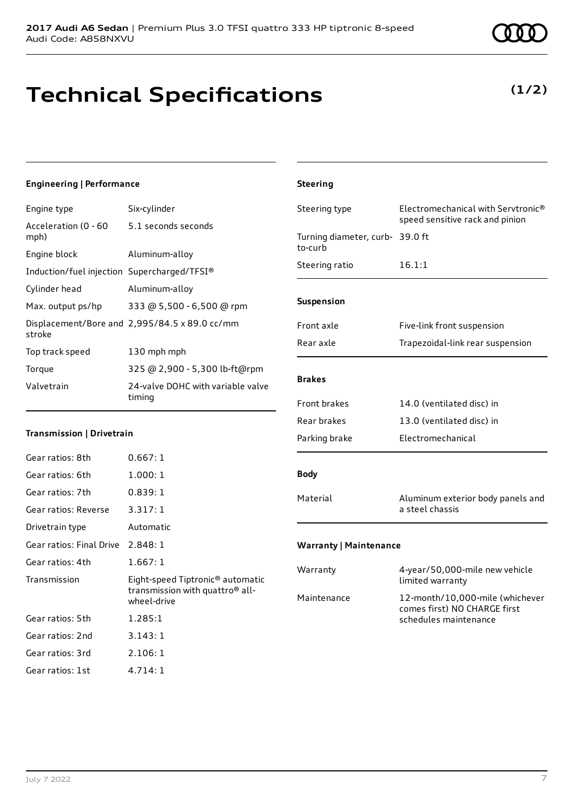## **Technical Specifications**

### **Engineering | Performance**

| Engine type                                 | Six-cylinder                                  |
|---------------------------------------------|-----------------------------------------------|
| Acceleration (0 - 60<br>mph)                | 5.1 seconds seconds                           |
| Engine block                                | Aluminum-alloy                                |
| Induction/fuel injection Supercharged/TFSI® |                                               |
| Cylinder head                               | Aluminum-alloy                                |
| Max. output ps/hp                           | 333 @ 5,500 - 6,500 @ rpm                     |
| stroke                                      | Displacement/Bore and 2,995/84.5 x 89.0 cc/mm |
| Top track speed                             | 130 mph mph                                   |
| Torque                                      | 325 @ 2,900 - 5,300 lb-ft@rpm                 |
| Valvetrain                                  | 24-valve DOHC with variable valve<br>timing   |

### **Transmission | Drivetrain**

| Gear ratios: 8th         | 0.667:1                                                                                                    |
|--------------------------|------------------------------------------------------------------------------------------------------------|
| Gear ratios: 6th         | 1.000:1                                                                                                    |
| Gear ratios: 7th         | 0.839:1                                                                                                    |
| Gear ratios: Reverse     | 3.317:1                                                                                                    |
| Drivetrain type          | Automatic                                                                                                  |
| Gear ratios: Final Drive | 2.848:1                                                                                                    |
| Gear ratios: 4th         | 1.667:1                                                                                                    |
| Transmission             | Eight-speed Tiptronic <sup>®</sup> automatic<br>transmission with quattro <sup>®</sup> all-<br>wheel-drive |
| Gear ratios: 5th         | 1.285:1                                                                                                    |
| Gear ratios: 2nd         | 3.143:1                                                                                                    |
| Gear ratios: 3rd         | 2.106:1                                                                                                    |
| Gear ratios: 1st         | 4.714:1                                                                                                    |

### **Steering** Steering type Electromechanical with Servtronic<sup>®</sup> speed sensitive rack and pinion Turning diameter, curb-39.0 ft to-curb Steering ratio 16.1:1 **Suspension** Front axle Five-link front suspension Rear axle Trapezoidal-link rear suspension **Brakes** Front brakes 14.0 (ventilated disc) in Rear brakes 13.0 (ventilated disc) in Parking brake Electromechanical **Body** Material Aluminum exterior body panels and a steel chassis **Warranty | Maintenance** Warranty 4-year/50,000-mile new vehicle limited warranty

Maintenance 12-month/10,000-mile (whichever comes first) NO CHARGE first schedules maintenance

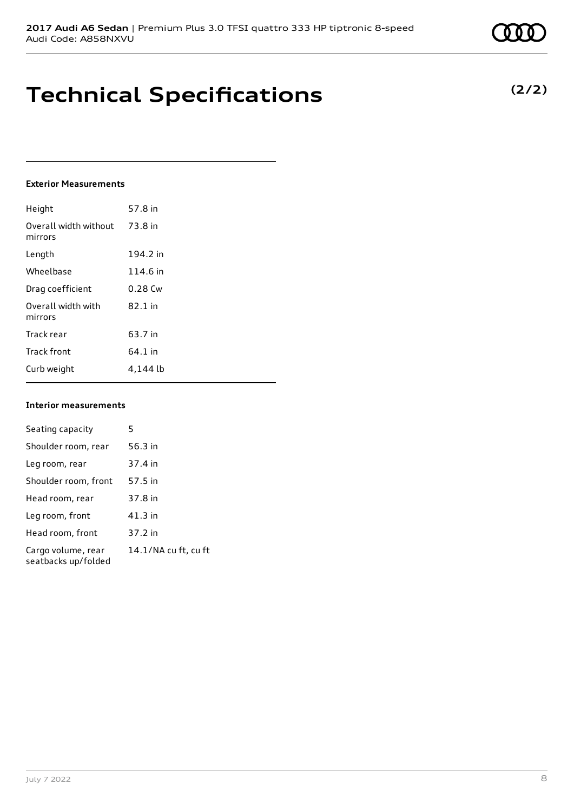### **Technical Specifications**

### **Exterior Measurements**

| Height                           | 57.8 in   |
|----------------------------------|-----------|
| Overall width without<br>mirrors | 73.8 in   |
| Length                           | 194.2 in  |
| Wheelbase                        | 114.6 in  |
| Drag coefficient                 | $0.28$ Cw |
| Overall width with<br>mirrors    | $82.1$ in |
| Track rear                       | 63.7 in   |
| <b>Track front</b>               | 64.1 in   |
| Curb weight                      | 4.144 lb  |

### **Interior measurements**

| Seating capacity                          | 5                    |
|-------------------------------------------|----------------------|
| Shoulder room, rear                       | 56.3 in              |
| Leg room, rear                            | 37.4 in              |
| Shoulder room, front                      | 57.5 in              |
| Head room, rear                           | 37.8 in              |
| Leg room, front                           | 41.3 in              |
| Head room, front                          | 37.2 in              |
| Cargo volume, rear<br>seatbacks up/folded | 14.1/NA cu ft, cu ft |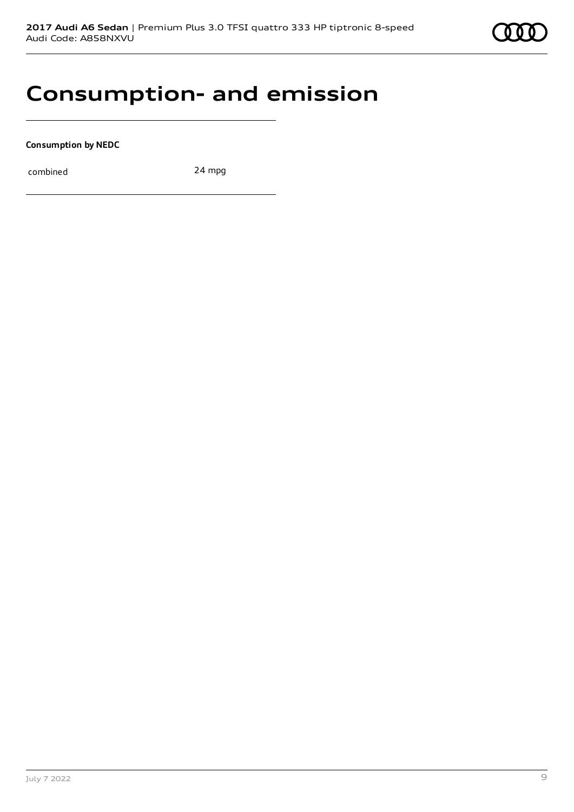

### **Consumption- and emission**

**Consumption by NEDC**

combined 24 mpg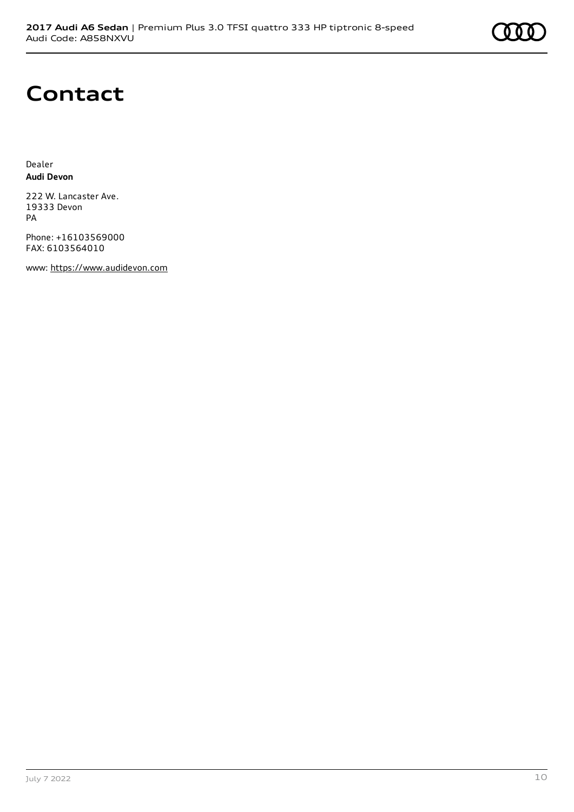

# **Contact**

Dealer **Audi Devon**

222 W. Lancaster Ave. 19333 Devon PA

Phone: +16103569000 FAX: 6103564010

www: [https://www.audidevon.com](https://www.audidevon.com/)